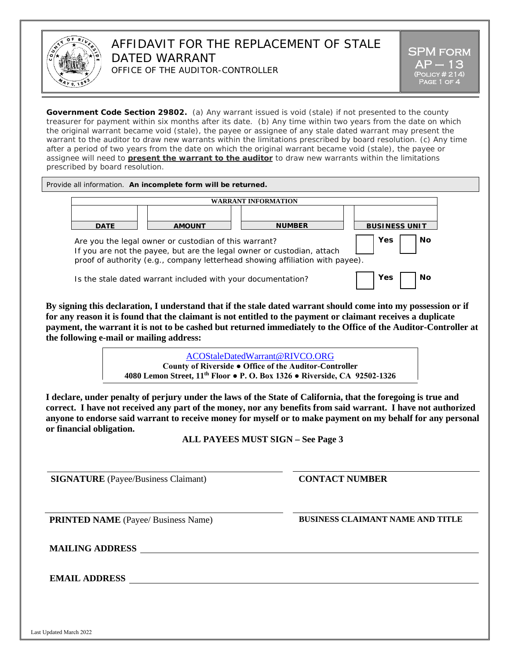

## AFFIDAVIT FOR THE REPLACEMENT OF STALE DATED WARRANT OFFICE OF THE AUDITOR-CONTROLLER

**Government Code Section 29802.** (a) Any warrant issued is void (stale) if not presented to the county treasurer for payment within six months after its date. (b) Any time within two years from the date on which the original warrant became void (stale), the payee or assignee of any stale dated warrant may present the warrant to the auditor to draw new warrants within the limitations prescribed by board resolution. (c) Any time after a period of two years from the date on which the original warrant became void (stale), the payee or assignee will need to **present the warrant to the auditor** to draw new warrants within the limitations prescribed by board resolution.

Provide all information. **An incomplete form will be returned.**

|             |                                                              | <b>WARRANT INFORMATION</b>                                                                                                                              |                      |
|-------------|--------------------------------------------------------------|---------------------------------------------------------------------------------------------------------------------------------------------------------|----------------------|
| <b>DATE</b> | <b>AMOUNT</b>                                                | <b>NUMBER</b>                                                                                                                                           | <b>BUSINESS UNIT</b> |
|             | Are you the legal owner or custodian of this warrant?        | If you are not the payee, but are the legal owner or custodian, attach<br>proof of authority (e.g., company letterhead showing affiliation with payee). | No<br>Yes            |
|             | Is the stale dated warrant included with your documentation? |                                                                                                                                                         | Yes<br>Nο            |

**By signing this declaration, I understand that if the stale dated warrant should come into my possession or if for any reason it is found that the claimant is not entitled to the payment or claimant receives a duplicate payment, the warrant it is not to be cashed but returned immediately to the Office of the Auditor-Controller at the following e-mail or mailing address:**

> [ACOStaleDatedWarrant@RIVCO.ORG](mailto:ACOStaleDatedWarrant@RIVCO.ORG) **County of Riverside ● Office of the Auditor-Controller 4080 Lemon Street, 11th Floor ● P. O. Box 1326 ● Riverside, CA 92502-1326**

**I declare, under penalty of perjury under the laws of the State of California, that the foregoing is true and correct. I have not received any part of the money, nor any benefits from said warrant. I have not authorized anyone to endorse said warrant to receive money for myself or to make payment on my behalf for any personal or financial obligation.** 

**ALL PAYEES MUST SIGN – See Page 3**

**SIGNATURE** (Payee/Business Claimant) **CONTACT NUMBER** 

**PRINTED NAME** (Payee/ Business Name) **BUSINESS CLAIMANT NAME AND TITLE** 

**MAILING ADDRESS**

**EMAIL ADDRESS**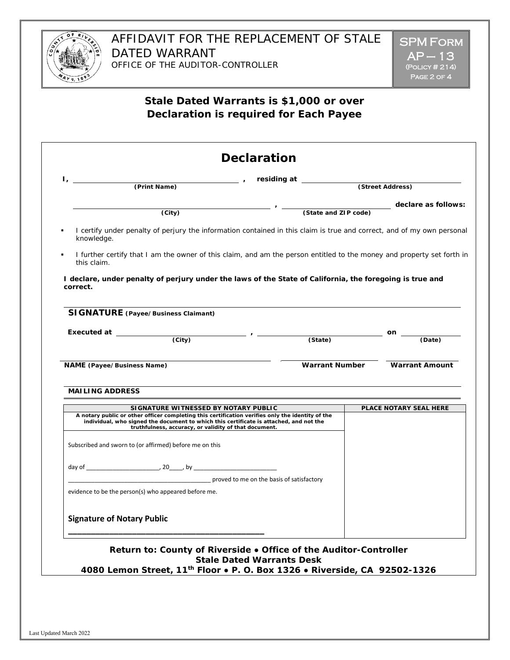

# **Stale Dated Warrants is \$1,000 or over Declaration is required for Each Payee**

| $\Gamma_{\ell}$ and $\Gamma_{\ell}$ and $\Gamma_{\ell}$<br>(Print Name)                                                                                                                                                                                                                     | The Second Contract of the Second Contract (Street Address) |                                             |
|---------------------------------------------------------------------------------------------------------------------------------------------------------------------------------------------------------------------------------------------------------------------------------------------|-------------------------------------------------------------|---------------------------------------------|
|                                                                                                                                                                                                                                                                                             |                                                             |                                             |
| $\overline{(City)}$                                                                                                                                                                                                                                                                         |                                                             | declare as follows:<br>(State and ZIP code) |
| I certify under penalty of perjury the information contained in this claim is true and correct, and of my own personal<br>knowledge.                                                                                                                                                        |                                                             |                                             |
| I further certify that I am the owner of this claim, and am the person entitled to the money and property set forth in<br>this claim.                                                                                                                                                       |                                                             |                                             |
| I declare, under penalty of perjury under the laws of the State of California, the foregoing is true and<br>correct.                                                                                                                                                                        |                                                             |                                             |
| <b>SIGNATURE</b> (Payee/Business Claimant)                                                                                                                                                                                                                                                  |                                                             |                                             |
| Executed at $\qquad \qquad \qquad$ (City) $\qquad \qquad$ (State)                                                                                                                                                                                                                           |                                                             | on $\overline{\phantom{0}}$<br>(Date)       |
|                                                                                                                                                                                                                                                                                             |                                                             |                                             |
|                                                                                                                                                                                                                                                                                             |                                                             |                                             |
| <b>NAME</b> (Payee/Business Name)                                                                                                                                                                                                                                                           | <b>Warrant Number</b>                                       | <b>Warrant Amount</b>                       |
|                                                                                                                                                                                                                                                                                             |                                                             |                                             |
| <b>MAILING ADDRESS</b>                                                                                                                                                                                                                                                                      |                                                             |                                             |
|                                                                                                                                                                                                                                                                                             |                                                             |                                             |
| SIGNATURE WITNESSED BY NOTARY PUBLIC<br>A notary public or other officer completing this certification verifies only the identity of the<br>individual, who signed the document to which this certificate is attached, and not the<br>truthfulness, accuracy, or validity of that document. |                                                             | PLACE NOTARY SEAL HERE                      |
|                                                                                                                                                                                                                                                                                             |                                                             |                                             |
| Subscribed and sworn to (or affirmed) before me on this                                                                                                                                                                                                                                     |                                                             |                                             |
| proved to me on the basis of satisfactory                                                                                                                                                                                                                                                   |                                                             |                                             |
|                                                                                                                                                                                                                                                                                             |                                                             |                                             |
| <b>Signature of Notary Public</b>                                                                                                                                                                                                                                                           |                                                             |                                             |
| evidence to be the person(s) who appeared before me.<br>Return to: County of Riverside . Office of the Auditor-Controller                                                                                                                                                                   |                                                             |                                             |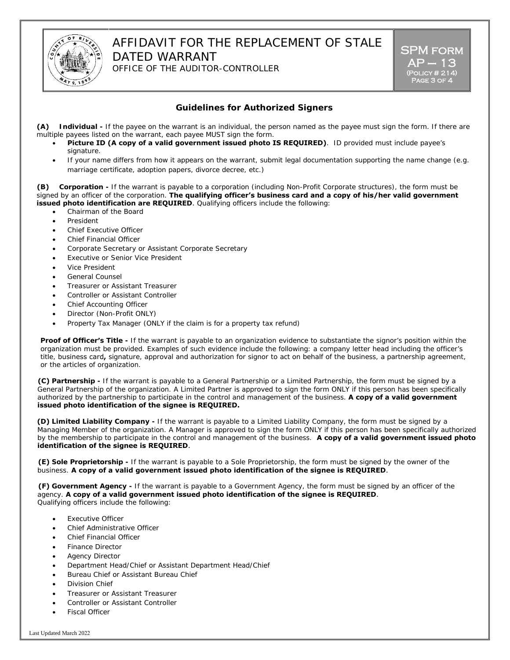

### AFFIDAVIT FOR THE REPLACEMENT OF STALE DATED WARRANT OFFICE OF THE AUDITOR-CONTROLLER

SPM form **AP — 13**<br>(Polic<u>y # 214)</u>  $PAGE$  3 OF  $\overline{4}$ 

### **Guidelines for Authorized Signers**

**(A) Individual -** If the payee on the warrant is an individual, the person named as the payee must sign the form. If there are multiple payees listed on the warrant, each payee MUST sign the form.

- **Picture ID (A copy of a valid government issued photo IS REQUIRED)**. ID provided must include payee's signature.
- If your name differs from how it appears on the warrant, submit legal documentation supporting the name change (e.g. marriage certificate, adoption papers, divorce decree, etc.)

**(B) Corporation -** If the warrant is payable to a corporation (including Non-Profit Corporate structures), the form must be signed by an officer of the corporation. **The qualifying officer's business card and a copy of his/her valid government issued photo identification are REQUIRED**. Qualifying officers include the following:

- Chairman of the Board
- **President**
- Chief Executive Officer
- Chief Financial Officer
- Corporate Secretary or Assistant Corporate Secretary
- **Executive or Senior Vice President**
- Vice President
- General Counsel
- Treasurer or Assistant Treasurer
- Controller or Assistant Controller
- Chief Accounting Officer
- Director (Non-Profit ONLY)
- Property Tax Manager (ONLY if the claim is for a property tax refund)

**Proof of Officer's Title -** If the warrant is payable to an organization evidence to substantiate the signor's position within the organization must be provided. Examples of such evidence include the following: a company letter head including the officer's title, business card**,** signature, approval and authorization for signor to act on behalf of the business, a partnership agreement, or the articles of organization.

**(C) Partnership -** If the warrant is payable to a General Partnership or a Limited Partnership, the form must be signed by a General Partnership of the organization. A Limited Partner is approved to sign the form ONLY if this person has been specifically authorized by the partnership to participate in the control and management of the business. **A copy of a valid government issued photo identification of the signee is REQUIRED.**

**(D) Limited Liability Company -** If the warrant is payable to a Limited Liability Company, the form must be signed by a Managing Member of the organization. A Manager is approved to sign the form ONLY if this person has been specifically authorized by the membership to participate in the control and management of the business. **A copy of a valid government issued photo identification of the signee is REQUIRED**.

**(E) Sole Proprietorship -** If the warrant is payable to a Sole Proprietorship, the form must be signed by the owner of the business. **A copy of a valid government issued photo identification of the signee is REQUIRED**.

**(F) Government Agency -** If the warrant is payable to a Government Agency, the form must be signed by an officer of the agency. **A copy of a valid government issued photo identification of the signee is REQUIRED**. Qualifying officers include the following:

- **Executive Officer**
- Chief Administrative Officer
- Chief Financial Officer
- Finance Director
- **Agency Director**
- Department Head/Chief or Assistant Department Head/Chief
- Bureau Chief or Assistant Bureau Chief
- Division Chief
- Treasurer or Assistant Treasurer
- Controller or Assistant Controller
- Fiscal Officer